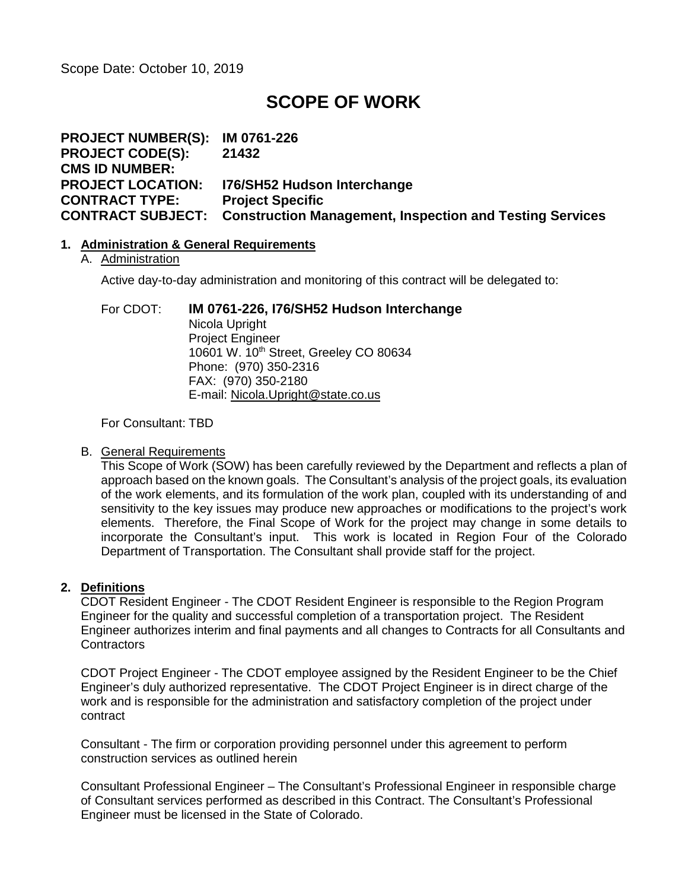Scope Date: October 10, 2019

# **SCOPE OF WORK**

**PROJECT NUMBER(S): IM 0761-226 PROJECT CODE(S): 21432 CMS ID NUMBER: PROJECT LOCATION: I76/SH52 Hudson Interchange CONTRACT TYPE: Project Specific CONTRACT SUBJECT: Construction Management, Inspection and Testing Services**

### **1. Administration & General Requirements**

### A. Administration

Active day-to-day administration and monitoring of this contract will be delegated to:

For CDOT: **IM 0761-226, I76/SH52 Hudson Interchange** Nicola Upright Project Engineer 10601 W. 10th Street, Greeley CO 80634 Phone: (970) 350-2316 FAX: (970) 350-2180 E-mail: [Nicola.Upright@state.co.us](mailto:Nicola.Upright@state.co.us)

For Consultant: TBD

### B. General Requirements

This Scope of Work (SOW) has been carefully reviewed by the Department and reflects a plan of approach based on the known goals. The Consultant's analysis of the project goals, its evaluation of the work elements, and its formulation of the work plan, coupled with its understanding of and sensitivity to the key issues may produce new approaches or modifications to the project's work elements. Therefore, the Final Scope of Work for the project may change in some details to incorporate the Consultant's input. This work is located in Region Four of the Colorado Department of Transportation. The Consultant shall provide staff for the project.

# **2. Definitions**

CDOT Resident Engineer - The CDOT Resident Engineer is responsible to the Region Program Engineer for the quality and successful completion of a transportation project. The Resident Engineer authorizes interim and final payments and all changes to Contracts for all Consultants and **Contractors** 

CDOT Project Engineer - The CDOT employee assigned by the Resident Engineer to be the Chief Engineer's duly authorized representative. The CDOT Project Engineer is in direct charge of the work and is responsible for the administration and satisfactory completion of the project under contract

Consultant - The firm or corporation providing personnel under this agreement to perform construction services as outlined herein

Consultant Professional Engineer – The Consultant's Professional Engineer in responsible charge of Consultant services performed as described in this Contract. The Consultant's Professional Engineer must be licensed in the State of Colorado.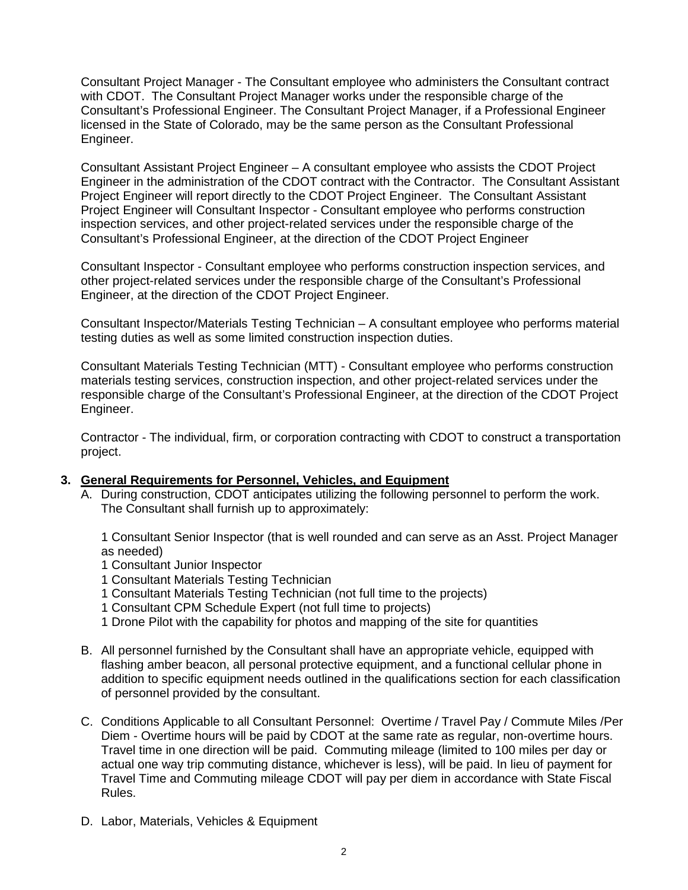Consultant Project Manager - The Consultant employee who administers the Consultant contract with CDOT. The Consultant Project Manager works under the responsible charge of the Consultant's Professional Engineer. The Consultant Project Manager, if a Professional Engineer licensed in the State of Colorado, may be the same person as the Consultant Professional Engineer.

Consultant Assistant Project Engineer – A consultant employee who assists the CDOT Project Engineer in the administration of the CDOT contract with the Contractor. The Consultant Assistant Project Engineer will report directly to the CDOT Project Engineer. The Consultant Assistant Project Engineer will Consultant Inspector - Consultant employee who performs construction inspection services, and other project-related services under the responsible charge of the Consultant's Professional Engineer, at the direction of the CDOT Project Engineer

Consultant Inspector - Consultant employee who performs construction inspection services, and other project-related services under the responsible charge of the Consultant's Professional Engineer, at the direction of the CDOT Project Engineer.

Consultant Inspector/Materials Testing Technician – A consultant employee who performs material testing duties as well as some limited construction inspection duties.

Consultant Materials Testing Technician (MTT) - Consultant employee who performs construction materials testing services, construction inspection, and other project-related services under the responsible charge of the Consultant's Professional Engineer, at the direction of the CDOT Project Engineer.

Contractor - The individual, firm, or corporation contracting with CDOT to construct a transportation project.

### **3. General Requirements for Personnel, Vehicles, and Equipment**

A. During construction, CDOT anticipates utilizing the following personnel to perform the work. The Consultant shall furnish up to approximately:

1 Consultant Senior Inspector (that is well rounded and can serve as an Asst. Project Manager as needed)

- 1 Consultant Junior Inspector
- 1 Consultant Materials Testing Technician
- 1 Consultant Materials Testing Technician (not full time to the projects)
- 1 Consultant CPM Schedule Expert (not full time to projects)
- 1 Drone Pilot with the capability for photos and mapping of the site for quantities
- B. All personnel furnished by the Consultant shall have an appropriate vehicle, equipped with flashing amber beacon, all personal protective equipment, and a functional cellular phone in addition to specific equipment needs outlined in the qualifications section for each classification of personnel provided by the consultant.
- C. Conditions Applicable to all Consultant Personnel: Overtime / Travel Pay / Commute Miles /Per Diem - Overtime hours will be paid by CDOT at the same rate as regular, non-overtime hours. Travel time in one direction will be paid. Commuting mileage (limited to 100 miles per day or actual one way trip commuting distance, whichever is less), will be paid. In lieu of payment for Travel Time and Commuting mileage CDOT will pay per diem in accordance with State Fiscal Rules.
- D. Labor, Materials, Vehicles & Equipment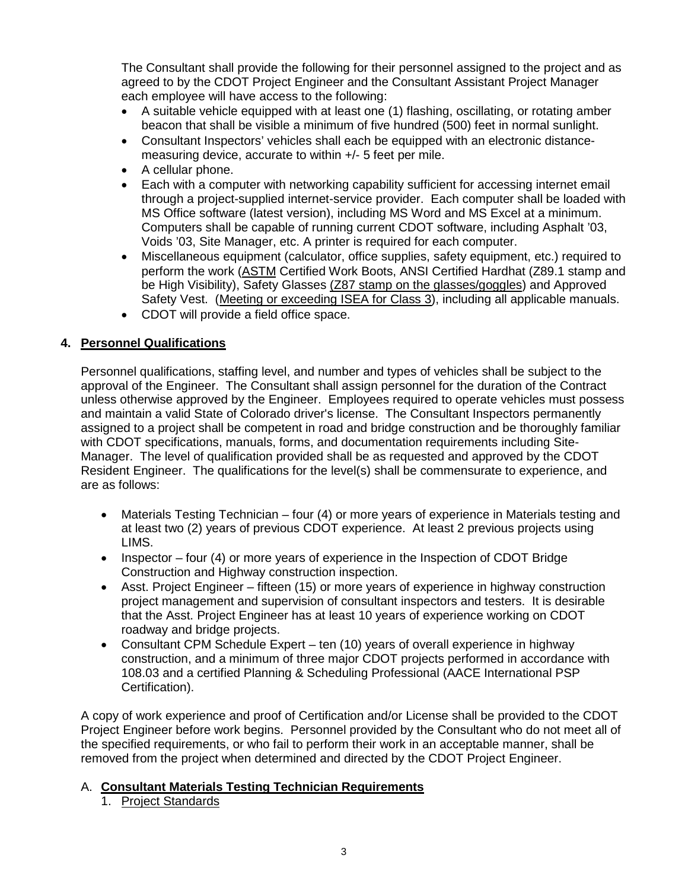The Consultant shall provide the following for their personnel assigned to the project and as agreed to by the CDOT Project Engineer and the Consultant Assistant Project Manager each employee will have access to the following:

- A suitable vehicle equipped with at least one (1) flashing, oscillating, or rotating amber beacon that shall be visible a minimum of five hundred (500) feet in normal sunlight.
- Consultant Inspectors' vehicles shall each be equipped with an electronic distancemeasuring device, accurate to within +/- 5 feet per mile.
- A cellular phone.
- Each with a computer with networking capability sufficient for accessing internet email through a project-supplied internet-service provider. Each computer shall be loaded with MS Office software (latest version), including MS Word and MS Excel at a minimum. Computers shall be capable of running current CDOT software, including Asphalt '03, Voids '03, Site Manager, etc. A printer is required for each computer.
- Miscellaneous equipment (calculator, office supplies, safety equipment, etc.) required to perform the work (ASTM Certified Work Boots, ANSI Certified Hardhat (Z89.1 stamp and be High Visibility), Safety Glasses (Z87 stamp on the glasses/goggles) and Approved Safety Vest. (Meeting or exceeding ISEA for Class 3), including all applicable manuals.
- CDOT will provide a field office space.

# **4. Personnel Qualifications**

Personnel qualifications, staffing level, and number and types of vehicles shall be subject to the approval of the Engineer. The Consultant shall assign personnel for the duration of the Contract unless otherwise approved by the Engineer. Employees required to operate vehicles must possess and maintain a valid State of Colorado driver's license. The Consultant Inspectors permanently assigned to a project shall be competent in road and bridge construction and be thoroughly familiar with CDOT specifications, manuals, forms, and documentation requirements including Site-Manager. The level of qualification provided shall be as requested and approved by the CDOT Resident Engineer. The qualifications for the level(s) shall be commensurate to experience, and are as follows:

- Materials Testing Technician four (4) or more years of experience in Materials testing and at least two (2) years of previous CDOT experience. At least 2 previous projects using LIMS.
- Inspector four (4) or more vears of experience in the Inspection of CDOT Bridge Construction and Highway construction inspection.
- Asst. Project Engineer fifteen (15) or more years of experience in highway construction project management and supervision of consultant inspectors and testers. It is desirable that the Asst. Project Engineer has at least 10 years of experience working on CDOT roadway and bridge projects.
- Consultant CPM Schedule Expert ten (10) years of overall experience in highway construction, and a minimum of three major CDOT projects performed in accordance with 108.03 and a certified Planning & Scheduling Professional (AACE International PSP Certification).

A copy of work experience and proof of Certification and/or License shall be provided to the CDOT Project Engineer before work begins. Personnel provided by the Consultant who do not meet all of the specified requirements, or who fail to perform their work in an acceptable manner, shall be removed from the project when determined and directed by the CDOT Project Engineer.

# A. **Consultant Materials Testing Technician Requirements**

1. Project Standards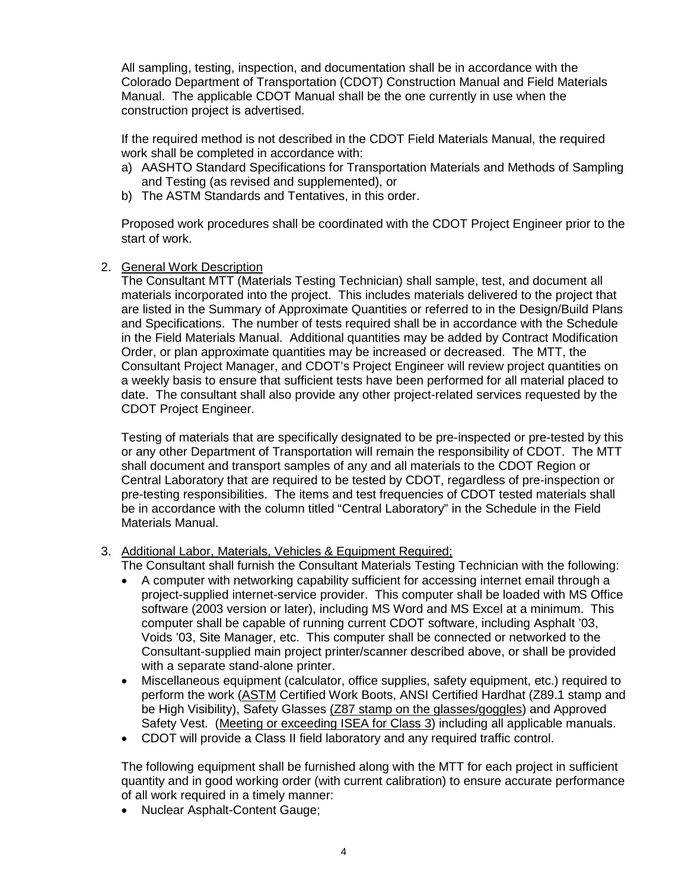All sampling, testing, inspection, and documentation shall be in accordance with the Colorado Department of Transportation (CDOT) Construction Manual and Field Materials Manual. The applicable CDOT Manual shall be the one currently in use when the construction project is advertised.

If the required method is not described in the CDOT Field Materials Manual, the required work shall be completed in accordance with:

- a) AASHTO Standard Specifications for Transportation Materials and Methods of Sampling and Testing (as revised and supplemented), or
- b) The ASTM Standards and Tentatives, in this order.

Proposed work procedures shall be coordinated with the CDOT Project Engineer prior to the start of work.

2. General Work Description

The Consultant MTT (Materials Testing Technician) shall sample, test, and document all materials incorporated into the project. This includes materials delivered to the project that are listed in the Summary of Approximate Quantities or referred to in the Design/Build Plans and Specifications. The number of tests required shall be in accordance with the Schedule in the Field Materials Manual. Additional quantities may be added by Contract Modification Order, or plan approximate quantities may be increased or decreased. The MTT, the Consultant Project Manager, and CDOT's Project Engineer will review project quantities on a weekly basis to ensure that sufficient tests have been performed for all material placed to date. The consultant shall also provide any other project-related services requested by the CDOT Project Engineer.

Testing of materials that are specifically designated to be pre-inspected or pre-tested by this or any other Department of Transportation will remain the responsibility of CDOT. The MTT shall document and transport samples of any and all materials to the CDOT Region or Central Laboratory that are required to be tested by CDOT, regardless of pre-inspection or pre-testing responsibilities. The items and test frequencies of CDOT tested materials shall be in accordance with the column titled "Central Laboratory" in the Schedule in the Field Materials Manual.

3. Additional Labor, Materials, Vehicles & Equipment Required;

The Consultant shall furnish the Consultant Materials Testing Technician with the following:

- A computer with networking capability sufficient for accessing internet email through a project-supplied internet-service provider. This computer shall be loaded with MS Office software (2003 version or later), including MS Word and MS Excel at a minimum. This computer shall be capable of running current CDOT software, including Asphalt '03, Voids '03, Site Manager, etc. This computer shall be connected or networked to the Consultant-supplied main project printer/scanner described above, or shall be provided with a separate stand-alone printer.
- Miscellaneous equipment (calculator, office supplies, safety equipment, etc.) required to perform the work (ASTM Certified Work Boots, ANSI Certified Hardhat (Z89.1 stamp and be High Visibility), Safety Glasses (Z87 stamp on the glasses/goggles) and Approved Safety Vest. (Meeting or exceeding ISEA for Class 3) including all applicable manuals.
- CDOT will provide a Class II field laboratory and any required traffic control.

The following equipment shall be furnished along with the MTT for each project in sufficient quantity and in good working order (with current calibration) to ensure accurate performance of all work required in a timely manner:

• Nuclear Asphalt-Content Gauge;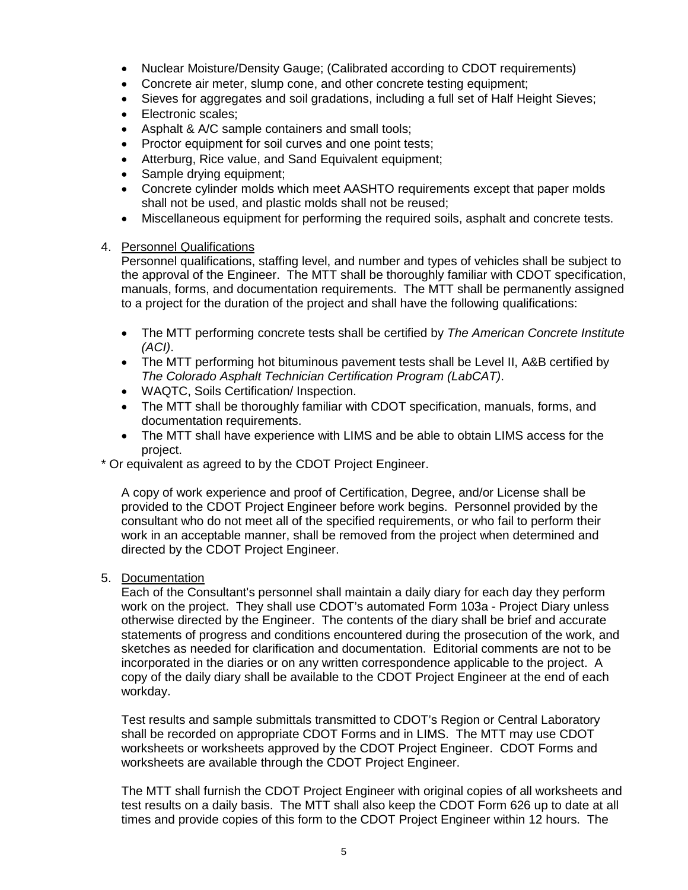- Nuclear Moisture/Density Gauge; (Calibrated according to CDOT requirements)
- Concrete air meter, slump cone, and other concrete testing equipment;
- Sieves for aggregates and soil gradations, including a full set of Half Height Sieves;
- Electronic scales;
- Asphalt & A/C sample containers and small tools;
- Proctor equipment for soil curves and one point tests;
- Atterburg, Rice value, and Sand Equivalent equipment;
- Sample drying equipment;
- Concrete cylinder molds which meet AASHTO requirements except that paper molds shall not be used, and plastic molds shall not be reused;
- Miscellaneous equipment for performing the required soils, asphalt and concrete tests.

# 4. Personnel Qualifications

Personnel qualifications, staffing level, and number and types of vehicles shall be subject to the approval of the Engineer. The MTT shall be thoroughly familiar with CDOT specification, manuals, forms, and documentation requirements. The MTT shall be permanently assigned to a project for the duration of the project and shall have the following qualifications:

- The MTT performing concrete tests shall be certified by *The American Concrete Institute (ACI)*.
- The MTT performing hot bituminous pavement tests shall be Level II, A&B certified by *The Colorado Asphalt Technician Certification Program (LabCAT)*.
- WAQTC, Soils Certification/ Inspection.
- The MTT shall be thoroughly familiar with CDOT specification, manuals, forms, and documentation requirements.
- The MTT shall have experience with LIMS and be able to obtain LIMS access for the project.

\* Or equivalent as agreed to by the CDOT Project Engineer.

A copy of work experience and proof of Certification, Degree, and/or License shall be provided to the CDOT Project Engineer before work begins. Personnel provided by the consultant who do not meet all of the specified requirements, or who fail to perform their work in an acceptable manner, shall be removed from the project when determined and directed by the CDOT Project Engineer.

5. Documentation

Each of the Consultant's personnel shall maintain a daily diary for each day they perform work on the project. They shall use CDOT's automated Form 103a - Project Diary unless otherwise directed by the Engineer. The contents of the diary shall be brief and accurate statements of progress and conditions encountered during the prosecution of the work, and sketches as needed for clarification and documentation. Editorial comments are not to be incorporated in the diaries or on any written correspondence applicable to the project. A copy of the daily diary shall be available to the CDOT Project Engineer at the end of each workday.

Test results and sample submittals transmitted to CDOT's Region or Central Laboratory shall be recorded on appropriate CDOT Forms and in LIMS. The MTT may use CDOT worksheets or worksheets approved by the CDOT Project Engineer. CDOT Forms and worksheets are available through the CDOT Project Engineer.

The MTT shall furnish the CDOT Project Engineer with original copies of all worksheets and test results on a daily basis. The MTT shall also keep the CDOT Form 626 up to date at all times and provide copies of this form to the CDOT Project Engineer within 12 hours. The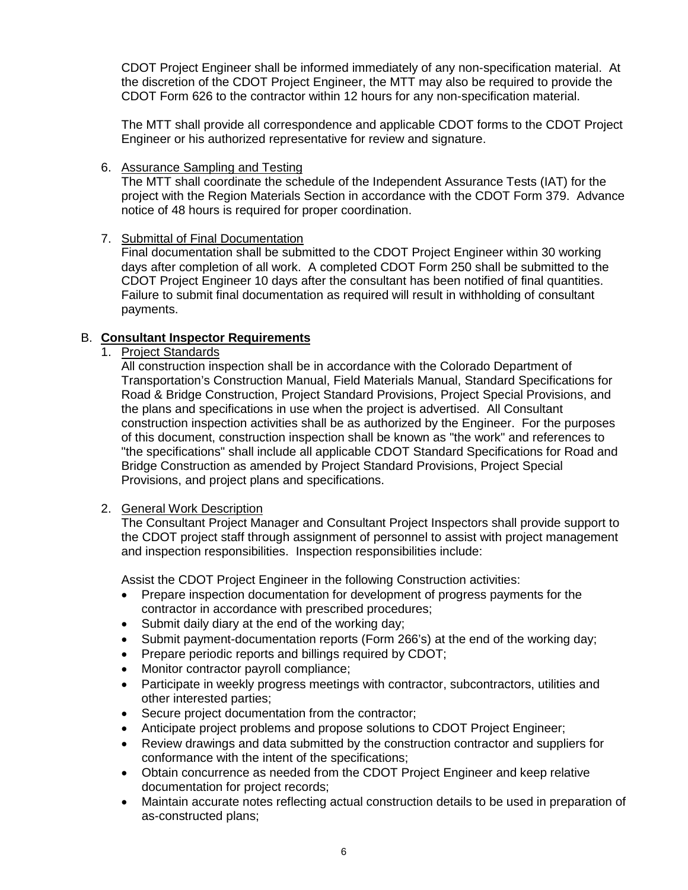CDOT Project Engineer shall be informed immediately of any non-specification material. At the discretion of the CDOT Project Engineer, the MTT may also be required to provide the CDOT Form 626 to the contractor within 12 hours for any non-specification material.

The MTT shall provide all correspondence and applicable CDOT forms to the CDOT Project Engineer or his authorized representative for review and signature.

# 6. Assurance Sampling and Testing

The MTT shall coordinate the schedule of the Independent Assurance Tests (IAT) for the project with the Region Materials Section in accordance with the CDOT Form 379. Advance notice of 48 hours is required for proper coordination.

# 7. Submittal of Final Documentation

Final documentation shall be submitted to the CDOT Project Engineer within 30 working days after completion of all work. A completed CDOT Form 250 shall be submitted to the CDOT Project Engineer 10 days after the consultant has been notified of final quantities. Failure to submit final documentation as required will result in withholding of consultant payments.

# B. **Consultant Inspector Requirements**

1. Project Standards

All construction inspection shall be in accordance with the Colorado Department of Transportation's Construction Manual, Field Materials Manual, Standard Specifications for Road & Bridge Construction, Project Standard Provisions, Project Special Provisions, and the plans and specifications in use when the project is advertised. All Consultant construction inspection activities shall be as authorized by the Engineer. For the purposes of this document, construction inspection shall be known as "the work" and references to "the specifications" shall include all applicable CDOT Standard Specifications for Road and Bridge Construction as amended by Project Standard Provisions, Project Special Provisions, and project plans and specifications.

### 2. General Work Description

The Consultant Project Manager and Consultant Project Inspectors shall provide support to the CDOT project staff through assignment of personnel to assist with project management and inspection responsibilities. Inspection responsibilities include:

Assist the CDOT Project Engineer in the following Construction activities:

- Prepare inspection documentation for development of progress payments for the contractor in accordance with prescribed procedures;
- Submit daily diary at the end of the working day;
- Submit payment-documentation reports (Form 266's) at the end of the working day;
- Prepare periodic reports and billings required by CDOT;
- Monitor contractor payroll compliance;
- Participate in weekly progress meetings with contractor, subcontractors, utilities and other interested parties;
- Secure project documentation from the contractor;
- Anticipate project problems and propose solutions to CDOT Project Engineer;
- Review drawings and data submitted by the construction contractor and suppliers for conformance with the intent of the specifications;
- Obtain concurrence as needed from the CDOT Project Engineer and keep relative documentation for project records;
- Maintain accurate notes reflecting actual construction details to be used in preparation of as-constructed plans;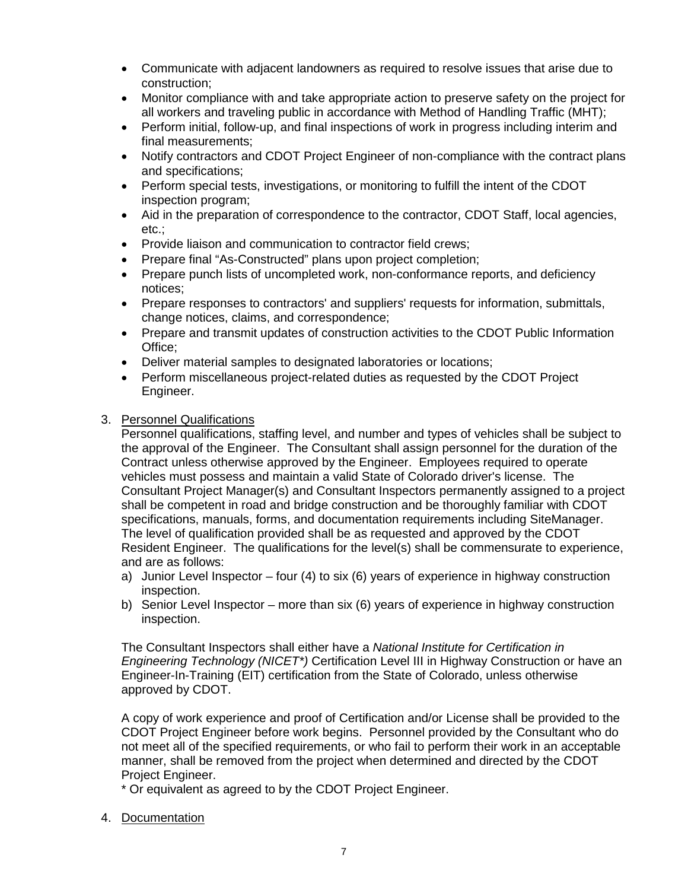- Communicate with adjacent landowners as required to resolve issues that arise due to construction;
- Monitor compliance with and take appropriate action to preserve safety on the project for all workers and traveling public in accordance with Method of Handling Traffic (MHT);
- Perform initial, follow-up, and final inspections of work in progress including interim and final measurements;
- Notify contractors and CDOT Project Engineer of non-compliance with the contract plans and specifications;
- Perform special tests, investigations, or monitoring to fulfill the intent of the CDOT inspection program;
- Aid in the preparation of correspondence to the contractor, CDOT Staff, local agencies, etc.;
- Provide liaison and communication to contractor field crews;
- Prepare final "As-Constructed" plans upon project completion;
- Prepare punch lists of uncompleted work, non-conformance reports, and deficiency notices;
- Prepare responses to contractors' and suppliers' requests for information, submittals, change notices, claims, and correspondence;
- Prepare and transmit updates of construction activities to the CDOT Public Information Office;
- Deliver material samples to designated laboratories or locations;
- Perform miscellaneous project-related duties as requested by the CDOT Project Engineer.

# 3. Personnel Qualifications

Personnel qualifications, staffing level, and number and types of vehicles shall be subject to the approval of the Engineer. The Consultant shall assign personnel for the duration of the Contract unless otherwise approved by the Engineer. Employees required to operate vehicles must possess and maintain a valid State of Colorado driver's license. The Consultant Project Manager(s) and Consultant Inspectors permanently assigned to a project shall be competent in road and bridge construction and be thoroughly familiar with CDOT specifications, manuals, forms, and documentation requirements including SiteManager. The level of qualification provided shall be as requested and approved by the CDOT Resident Engineer. The qualifications for the level(s) shall be commensurate to experience, and are as follows:

- a) Junior Level Inspector four (4) to six (6) years of experience in highway construction inspection.
- b) Senior Level Inspector more than six (6) years of experience in highway construction inspection.

The Consultant Inspectors shall either have a *National Institute for Certification in Engineering Technology (NICET\*)* Certification Level III in Highway Construction or have an Engineer-In-Training (EIT) certification from the State of Colorado, unless otherwise approved by CDOT.

A copy of work experience and proof of Certification and/or License shall be provided to the CDOT Project Engineer before work begins. Personnel provided by the Consultant who do not meet all of the specified requirements, or who fail to perform their work in an acceptable manner, shall be removed from the project when determined and directed by the CDOT Project Engineer.

\* Or equivalent as agreed to by the CDOT Project Engineer.

4. Documentation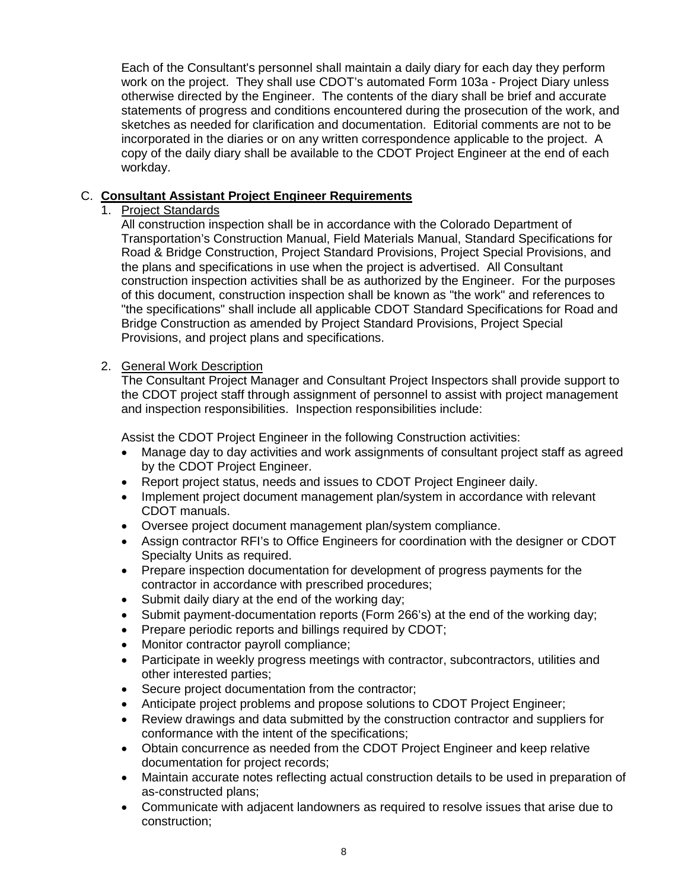Each of the Consultant's personnel shall maintain a daily diary for each day they perform work on the project. They shall use CDOT's automated Form 103a - Project Diary unless otherwise directed by the Engineer. The contents of the diary shall be brief and accurate statements of progress and conditions encountered during the prosecution of the work, and sketches as needed for clarification and documentation. Editorial comments are not to be incorporated in the diaries or on any written correspondence applicable to the project. A copy of the daily diary shall be available to the CDOT Project Engineer at the end of each workday.

# C. **Consultant Assistant Project Engineer Requirements**

# 1. Project Standards

All construction inspection shall be in accordance with the Colorado Department of Transportation's Construction Manual, Field Materials Manual, Standard Specifications for Road & Bridge Construction, Project Standard Provisions, Project Special Provisions, and the plans and specifications in use when the project is advertised. All Consultant construction inspection activities shall be as authorized by the Engineer. For the purposes of this document, construction inspection shall be known as "the work" and references to "the specifications" shall include all applicable CDOT Standard Specifications for Road and Bridge Construction as amended by Project Standard Provisions, Project Special Provisions, and project plans and specifications.

# 2. General Work Description

The Consultant Project Manager and Consultant Project Inspectors shall provide support to the CDOT project staff through assignment of personnel to assist with project management and inspection responsibilities. Inspection responsibilities include:

Assist the CDOT Project Engineer in the following Construction activities:

- Manage day to day activities and work assignments of consultant project staff as agreed by the CDOT Project Engineer.
- Report project status, needs and issues to CDOT Project Engineer daily.
- Implement project document management plan/system in accordance with relevant CDOT manuals.
- Oversee project document management plan/system compliance.
- Assign contractor RFI's to Office Engineers for coordination with the designer or CDOT Specialty Units as required.
- Prepare inspection documentation for development of progress payments for the contractor in accordance with prescribed procedures;
- Submit daily diary at the end of the working day;
- Submit payment-documentation reports (Form 266's) at the end of the working day;
- Prepare periodic reports and billings required by CDOT;
- Monitor contractor payroll compliance;
- Participate in weekly progress meetings with contractor, subcontractors, utilities and other interested parties;
- Secure project documentation from the contractor;
- Anticipate project problems and propose solutions to CDOT Project Engineer;
- Review drawings and data submitted by the construction contractor and suppliers for conformance with the intent of the specifications;
- Obtain concurrence as needed from the CDOT Project Engineer and keep relative documentation for project records;
- Maintain accurate notes reflecting actual construction details to be used in preparation of as-constructed plans;
- Communicate with adjacent landowners as required to resolve issues that arise due to construction;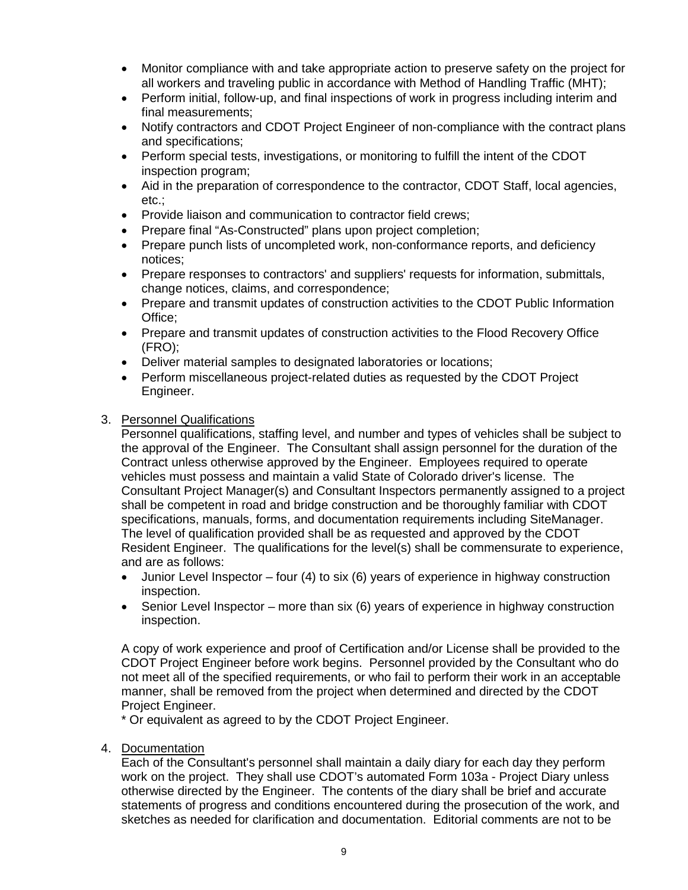- Monitor compliance with and take appropriate action to preserve safety on the project for all workers and traveling public in accordance with Method of Handling Traffic (MHT);
- Perform initial, follow-up, and final inspections of work in progress including interim and final measurements;
- Notify contractors and CDOT Project Engineer of non-compliance with the contract plans and specifications;
- Perform special tests, investigations, or monitoring to fulfill the intent of the CDOT inspection program;
- Aid in the preparation of correspondence to the contractor, CDOT Staff, local agencies, etc.;
- Provide liaison and communication to contractor field crews;
- Prepare final "As-Constructed" plans upon project completion;
- Prepare punch lists of uncompleted work, non-conformance reports, and deficiency notices;
- Prepare responses to contractors' and suppliers' requests for information, submittals, change notices, claims, and correspondence;
- Prepare and transmit updates of construction activities to the CDOT Public Information Office;
- Prepare and transmit updates of construction activities to the Flood Recovery Office (FRO);
- Deliver material samples to designated laboratories or locations;
- Perform miscellaneous project-related duties as requested by the CDOT Project Engineer.

### 3. Personnel Qualifications

Personnel qualifications, staffing level, and number and types of vehicles shall be subject to the approval of the Engineer. The Consultant shall assign personnel for the duration of the Contract unless otherwise approved by the Engineer. Employees required to operate vehicles must possess and maintain a valid State of Colorado driver's license. The Consultant Project Manager(s) and Consultant Inspectors permanently assigned to a project shall be competent in road and bridge construction and be thoroughly familiar with CDOT specifications, manuals, forms, and documentation requirements including SiteManager. The level of qualification provided shall be as requested and approved by the CDOT Resident Engineer. The qualifications for the level(s) shall be commensurate to experience, and are as follows:

- Junior Level Inspector four (4) to six (6) years of experience in highway construction inspection.
- Senior Level Inspector more than six (6) years of experience in highway construction inspection.

A copy of work experience and proof of Certification and/or License shall be provided to the CDOT Project Engineer before work begins. Personnel provided by the Consultant who do not meet all of the specified requirements, or who fail to perform their work in an acceptable manner, shall be removed from the project when determined and directed by the CDOT Project Engineer.

\* Or equivalent as agreed to by the CDOT Project Engineer.

4. Documentation

Each of the Consultant's personnel shall maintain a daily diary for each day they perform work on the project. They shall use CDOT's automated Form 103a - Project Diary unless otherwise directed by the Engineer. The contents of the diary shall be brief and accurate statements of progress and conditions encountered during the prosecution of the work, and sketches as needed for clarification and documentation. Editorial comments are not to be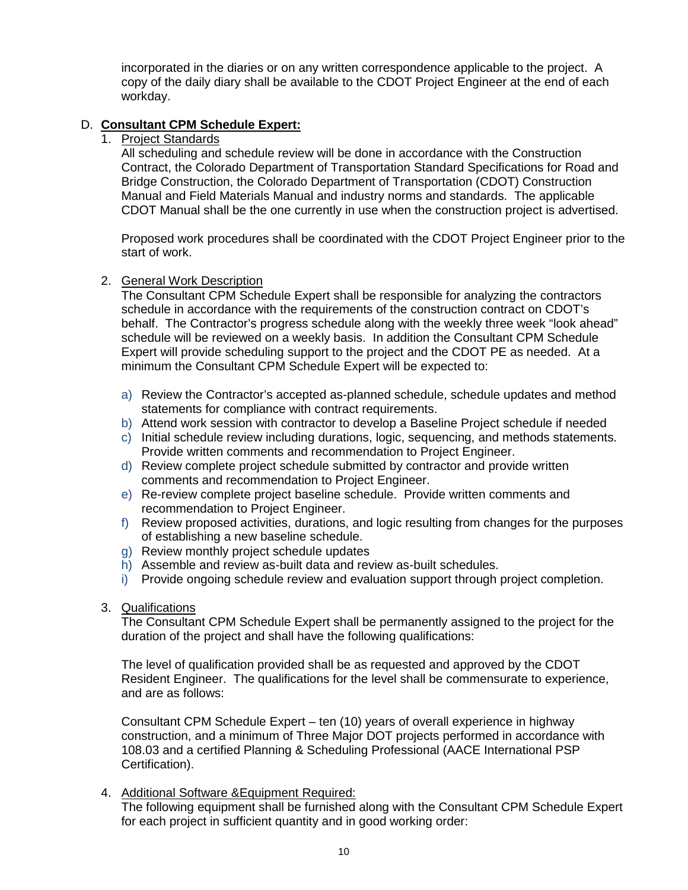incorporated in the diaries or on any written correspondence applicable to the project. A copy of the daily diary shall be available to the CDOT Project Engineer at the end of each workday.

# D. **Consultant CPM Schedule Expert:**

1. Project Standards

All scheduling and schedule review will be done in accordance with the Construction Contract, the Colorado Department of Transportation Standard Specifications for Road and Bridge Construction, the Colorado Department of Transportation (CDOT) Construction Manual and Field Materials Manual and industry norms and standards. The applicable CDOT Manual shall be the one currently in use when the construction project is advertised.

Proposed work procedures shall be coordinated with the CDOT Project Engineer prior to the start of work.

### 2. General Work Description

The Consultant CPM Schedule Expert shall be responsible for analyzing the contractors schedule in accordance with the requirements of the construction contract on CDOT's behalf. The Contractor's progress schedule along with the weekly three week "look ahead" schedule will be reviewed on a weekly basis. In addition the Consultant CPM Schedule Expert will provide scheduling support to the project and the CDOT PE as needed. At a minimum the Consultant CPM Schedule Expert will be expected to:

- a) Review the Contractor's accepted as-planned schedule, schedule updates and method statements for compliance with contract requirements.
- b) Attend work session with contractor to develop a Baseline Project schedule if needed
- c) Initial schedule review including durations, logic, sequencing, and methods statements. Provide written comments and recommendation to Project Engineer.
- d) Review complete project schedule submitted by contractor and provide written comments and recommendation to Project Engineer.
- e) Re-review complete project baseline schedule. Provide written comments and recommendation to Project Engineer.
- f) Review proposed activities, durations, and logic resulting from changes for the purposes of establishing a new baseline schedule.
- g) Review monthly project schedule updates
- h) Assemble and review as-built data and review as-built schedules.
- i) Provide ongoing schedule review and evaluation support through project completion.
- 3. Qualifications

The Consultant CPM Schedule Expert shall be permanently assigned to the project for the duration of the project and shall have the following qualifications:

The level of qualification provided shall be as requested and approved by the CDOT Resident Engineer. The qualifications for the level shall be commensurate to experience, and are as follows:

Consultant CPM Schedule Expert – ten (10) years of overall experience in highway construction, and a minimum of Three Major DOT projects performed in accordance with 108.03 and a certified Planning & Scheduling Professional (AACE International PSP Certification).

4. Additional Software &Equipment Required:

The following equipment shall be furnished along with the Consultant CPM Schedule Expert for each project in sufficient quantity and in good working order: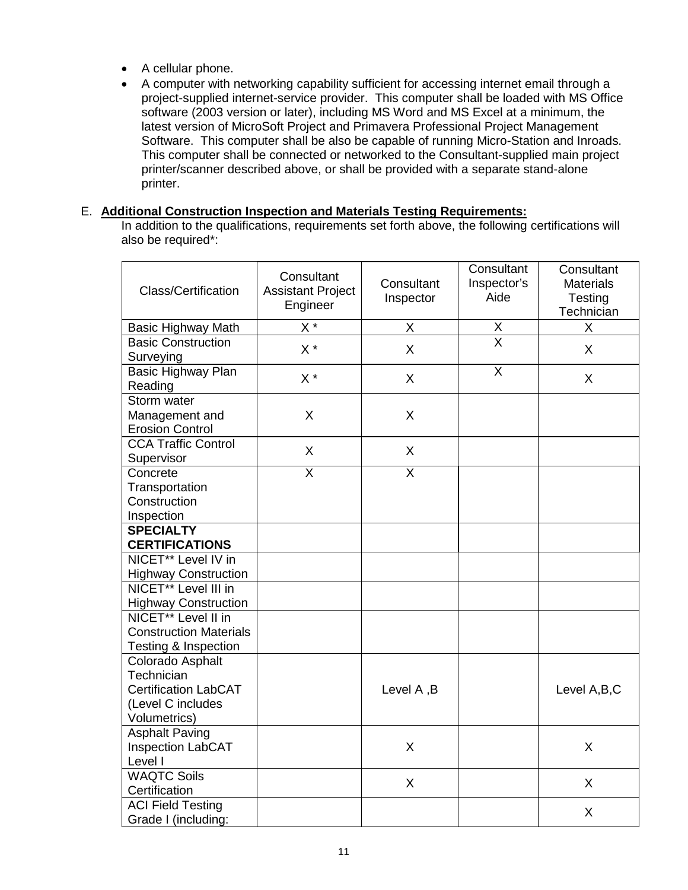- A cellular phone.
- A computer with networking capability sufficient for accessing internet email through a project-supplied internet-service provider. This computer shall be loaded with MS Office software (2003 version or later), including MS Word and MS Excel at a minimum, the latest version of MicroSoft Project and Primavera Professional Project Management Software. This computer shall be also be capable of running Micro-Station and Inroads. This computer shall be connected or networked to the Consultant-supplied main project printer/scanner described above, or shall be provided with a separate stand-alone printer.

### E. **Additional Construction Inspection and Materials Testing Requirements:**

In addition to the qualifications, requirements set forth above, the following certifications will also be required\*:

| <b>Class/Certification</b>                                                                          | Consultant<br><b>Assistant Project</b><br>Engineer | Consultant<br>Inspector | Consultant<br>Inspector's<br>Aide | Consultant<br><b>Materials</b><br>Testing<br>Technician |
|-----------------------------------------------------------------------------------------------------|----------------------------------------------------|-------------------------|-----------------------------------|---------------------------------------------------------|
| <b>Basic Highway Math</b>                                                                           | $X^*$                                              | X                       | Χ                                 | X                                                       |
| <b>Basic Construction</b><br>Surveying                                                              | $X^*$                                              | X                       | $\overline{\mathsf{x}}$           | X                                                       |
| Basic Highway Plan<br>Reading                                                                       | $X^*$                                              | X                       | $\overline{\mathsf{X}}$           | X                                                       |
| Storm water<br>Management and<br><b>Erosion Control</b>                                             | X                                                  | X                       |                                   |                                                         |
| <b>CCA Traffic Control</b><br>Supervisor                                                            | X                                                  | X                       |                                   |                                                         |
| Concrete<br>Transportation<br>Construction<br>Inspection                                            | $\overline{X}$                                     | $\overline{\mathsf{x}}$ |                                   |                                                         |
| <b>SPECIALTY</b><br><b>CERTIFICATIONS</b>                                                           |                                                    |                         |                                   |                                                         |
| NICET <sup>**</sup> Level IV in<br><b>Highway Construction</b>                                      |                                                    |                         |                                   |                                                         |
| NICET <sup>**</sup> Level III in<br><b>Highway Construction</b>                                     |                                                    |                         |                                   |                                                         |
| NICET <sup>**</sup> Level II in<br><b>Construction Materials</b><br><b>Testing &amp; Inspection</b> |                                                    |                         |                                   |                                                         |
| Colorado Asphalt<br>Technician<br><b>Certification LabCAT</b><br>(Level C includes<br>Volumetrics)  |                                                    | Level A, B              |                                   | Level A, B, C                                           |
| <b>Asphalt Paving</b><br>Inspection LabCAT<br>Level I                                               |                                                    | X                       |                                   | X                                                       |
| <b>WAQTC Soils</b><br>Certification                                                                 |                                                    | X                       |                                   | X                                                       |
| <b>ACI Field Testing</b><br>Grade I (including:                                                     |                                                    |                         |                                   | X                                                       |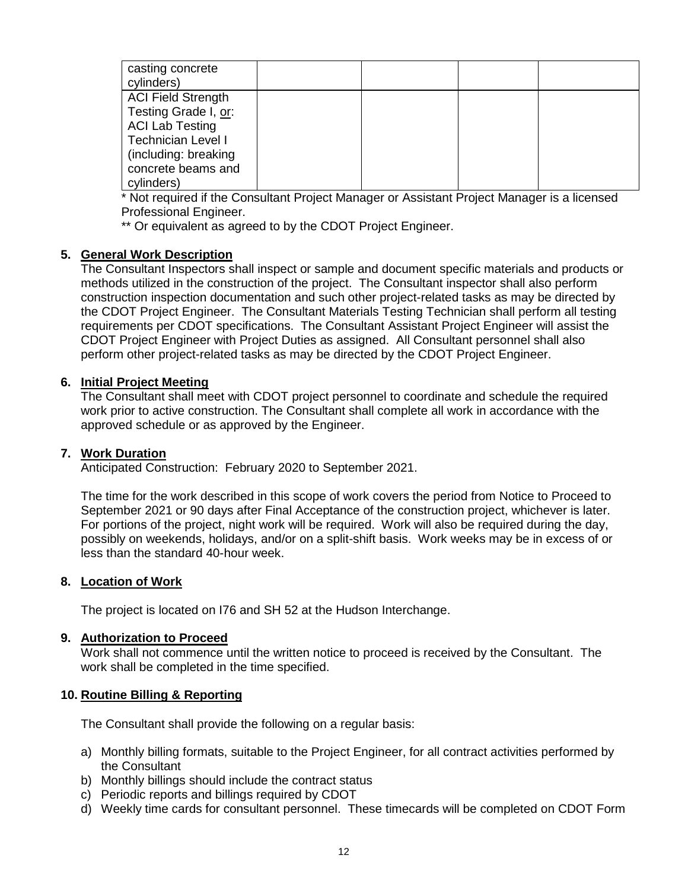| casting concrete<br>cylinders) |  |  |
|--------------------------------|--|--|
| <b>ACI Field Strength</b>      |  |  |
| Testing Grade I, or:           |  |  |
| <b>ACI Lab Testing</b>         |  |  |
| Technician Level I             |  |  |
| (including: breaking           |  |  |
| concrete beams and             |  |  |
| cylinders)                     |  |  |

\* Not required if the Consultant Project Manager or Assistant Project Manager is a licensed Professional Engineer.

\*\* Or equivalent as agreed to by the CDOT Project Engineer.

### **5. General Work Description**

The Consultant Inspectors shall inspect or sample and document specific materials and products or methods utilized in the construction of the project. The Consultant inspector shall also perform construction inspection documentation and such other project-related tasks as may be directed by the CDOT Project Engineer. The Consultant Materials Testing Technician shall perform all testing requirements per CDOT specifications. The Consultant Assistant Project Engineer will assist the CDOT Project Engineer with Project Duties as assigned. All Consultant personnel shall also perform other project-related tasks as may be directed by the CDOT Project Engineer.

### **6. Initial Project Meeting**

The Consultant shall meet with CDOT project personnel to coordinate and schedule the required work prior to active construction. The Consultant shall complete all work in accordance with the approved schedule or as approved by the Engineer.

### **7. Work Duration**

Anticipated Construction: February 2020 to September 2021.

The time for the work described in this scope of work covers the period from Notice to Proceed to September 2021 or 90 days after Final Acceptance of the construction project, whichever is later. For portions of the project, night work will be required. Work will also be required during the day, possibly on weekends, holidays, and/or on a split-shift basis. Work weeks may be in excess of or less than the standard 40-hour week.

### **8. Location of Work**

The project is located on I76 and SH 52 at the Hudson Interchange.

### **9. Authorization to Proceed**

Work shall not commence until the written notice to proceed is received by the Consultant. The work shall be completed in the time specified.

### **10. Routine Billing & Reporting**

The Consultant shall provide the following on a regular basis:

- a) Monthly billing formats, suitable to the Project Engineer, for all contract activities performed by the Consultant
- b) Monthly billings should include the contract status
- c) Periodic reports and billings required by CDOT
- d) Weekly time cards for consultant personnel. These timecards will be completed on CDOT Form